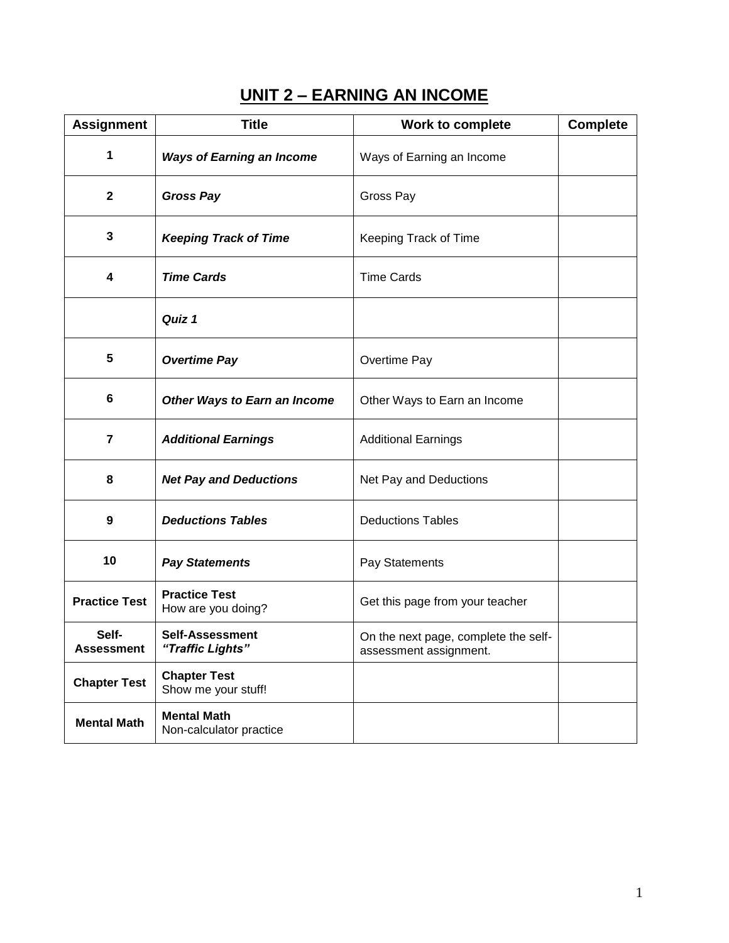# **UNIT 2 – EARNING AN INCOME**

| <b>Assignment</b>          | <b>Title</b>                                  | <b>Work to complete</b>                                        | <b>Complete</b> |
|----------------------------|-----------------------------------------------|----------------------------------------------------------------|-----------------|
| 1                          | <b>Ways of Earning an Income</b>              | Ways of Earning an Income                                      |                 |
| $\mathbf{2}$               | <b>Gross Pay</b>                              | Gross Pay                                                      |                 |
| 3                          | <b>Keeping Track of Time</b>                  | Keeping Track of Time                                          |                 |
| 4                          | <b>Time Cards</b>                             | <b>Time Cards</b>                                              |                 |
|                            | Quiz 1                                        |                                                                |                 |
| 5                          | <b>Overtime Pay</b>                           | Overtime Pay                                                   |                 |
| 6                          | Other Ways to Earn an Income                  | Other Ways to Earn an Income                                   |                 |
| $\overline{7}$             | <b>Additional Earnings</b>                    | <b>Additional Earnings</b>                                     |                 |
| 8                          | <b>Net Pay and Deductions</b>                 | Net Pay and Deductions                                         |                 |
| 9                          | <b>Deductions Tables</b>                      | <b>Deductions Tables</b>                                       |                 |
| 10                         | <b>Pay Statements</b>                         | Pay Statements                                                 |                 |
| <b>Practice Test</b>       | <b>Practice Test</b><br>How are you doing?    | Get this page from your teacher                                |                 |
| Self-<br><b>Assessment</b> | <b>Self-Assessment</b><br>"Traffic Lights"    | On the next page, complete the self-<br>assessment assignment. |                 |
| <b>Chapter Test</b>        | <b>Chapter Test</b><br>Show me your stuff!    |                                                                |                 |
| <b>Mental Math</b>         | <b>Mental Math</b><br>Non-calculator practice |                                                                |                 |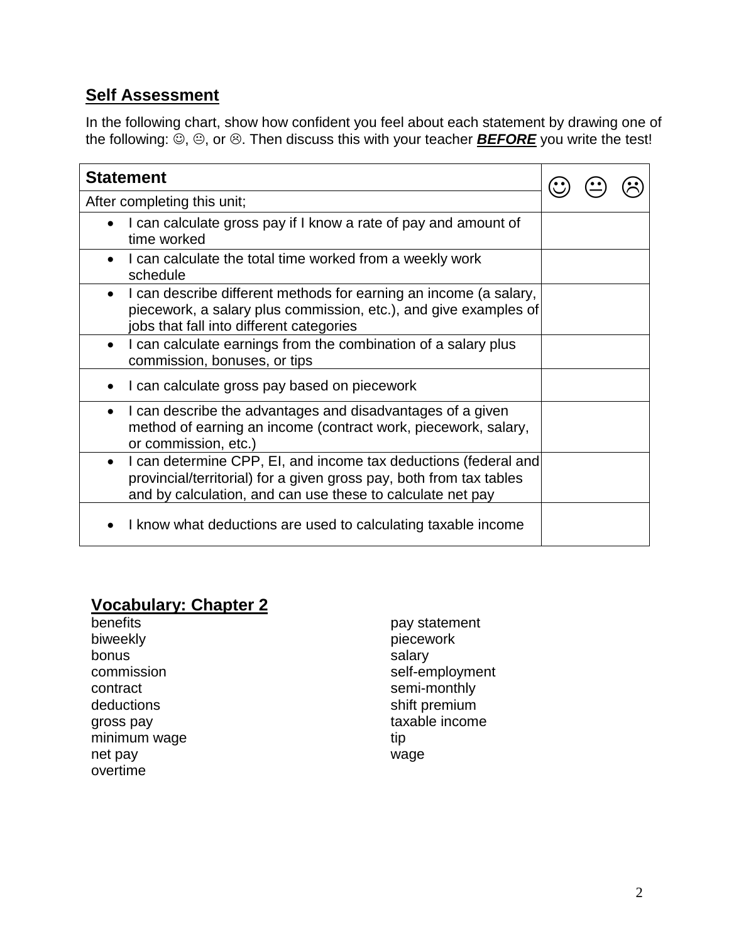### **Self Assessment**

In the following chart, show how confident you feel about each statement by drawing one of the following:  $\ddot{\odot}$ ,  $\odot$ , or  $\odot$ . Then discuss this with your teacher **BEFORE** you write the test!

| <b>Statement</b>                                                                                                                                                                                                  |  |  |  |
|-------------------------------------------------------------------------------------------------------------------------------------------------------------------------------------------------------------------|--|--|--|
| After completing this unit;                                                                                                                                                                                       |  |  |  |
| I can calculate gross pay if I know a rate of pay and amount of<br>time worked                                                                                                                                    |  |  |  |
| I can calculate the total time worked from a weekly work<br>schedule                                                                                                                                              |  |  |  |
| I can describe different methods for earning an income (a salary,<br>$\bullet$<br>piecework, a salary plus commission, etc.), and give examples of<br>jobs that fall into different categories                    |  |  |  |
| I can calculate earnings from the combination of a salary plus<br>$\bullet$<br>commission, bonuses, or tips                                                                                                       |  |  |  |
| I can calculate gross pay based on piecework                                                                                                                                                                      |  |  |  |
| I can describe the advantages and disadvantages of a given<br>$\bullet$<br>method of earning an income (contract work, piecework, salary,<br>or commission, etc.)                                                 |  |  |  |
| I can determine CPP, EI, and income tax deductions (federal and<br>$\bullet$<br>provincial/territorial) for a given gross pay, both from tax tables<br>and by calculation, and can use these to calculate net pay |  |  |  |
| I know what deductions are used to calculating taxable income                                                                                                                                                     |  |  |  |

# **Vocabulary: Chapter 2**

| benefits     | pay statement   |
|--------------|-----------------|
| biweekly     | piecework       |
| bonus        | salary          |
| commission   | self-employment |
| contract     | semi-monthly    |
| deductions   | shift premium   |
| gross pay    | taxable income  |
| minimum wage | tip             |
| net pay      | wage            |
| overtime     |                 |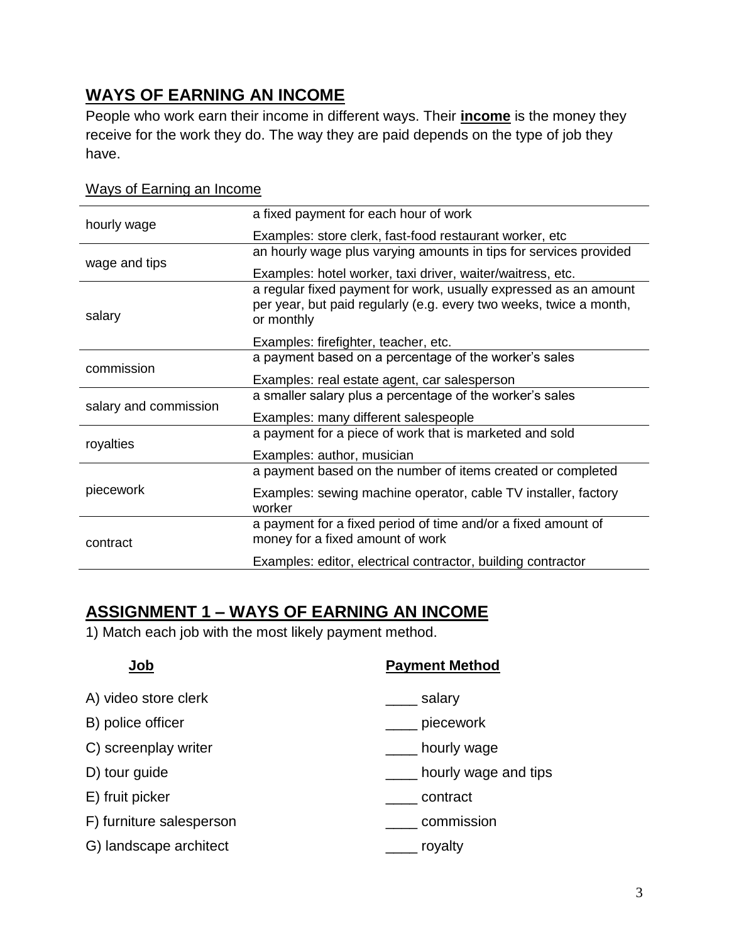# **WAYS OF EARNING AN INCOME**

People who work earn their income in different ways. Their **income** is the money they receive for the work they do. The way they are paid depends on the type of job they have.

| hourly wage           | a fixed payment for each hour of work                                                                                                                |
|-----------------------|------------------------------------------------------------------------------------------------------------------------------------------------------|
|                       | Examples: store clerk, fast-food restaurant worker, etc                                                                                              |
|                       | an hourly wage plus varying amounts in tips for services provided                                                                                    |
| wage and tips         | Examples: hotel worker, taxi driver, waiter/waitress, etc.                                                                                           |
| salary                | a regular fixed payment for work, usually expressed as an amount<br>per year, but paid regularly (e.g. every two weeks, twice a month,<br>or monthly |
|                       | Examples: firefighter, teacher, etc.                                                                                                                 |
| commission            | a payment based on a percentage of the worker's sales                                                                                                |
|                       | Examples: real estate agent, car salesperson                                                                                                         |
| salary and commission | a smaller salary plus a percentage of the worker's sales                                                                                             |
|                       | Examples: many different salespeople                                                                                                                 |
|                       | a payment for a piece of work that is marketed and sold                                                                                              |
| royalties             | Examples: author, musician                                                                                                                           |
|                       | a payment based on the number of items created or completed                                                                                          |
| piecework             | Examples: sewing machine operator, cable TV installer, factory<br>worker                                                                             |
| contract              | a payment for a fixed period of time and/or a fixed amount of<br>money for a fixed amount of work                                                    |
|                       | Examples: editor, electrical contractor, building contractor                                                                                         |

#### Ways of Earning an Income

#### **ASSIGNMENT 1 – WAYS OF EARNING AN INCOME**

1) Match each job with the most likely payment method.

| uuu                      | <b>I AVIIIGIII MGUIVU</b> |
|--------------------------|---------------------------|
| A) video store clerk     | salary                    |
| B) police officer        | piecework                 |
| C) screenplay writer     | hourly wage               |
| D) tour guide            | hourly wage and tips      |
| E) fruit picker          | contract                  |
| F) furniture salesperson | commission                |
| G) landscape architect   | royalty                   |
|                          |                           |

# **Job Payment Method**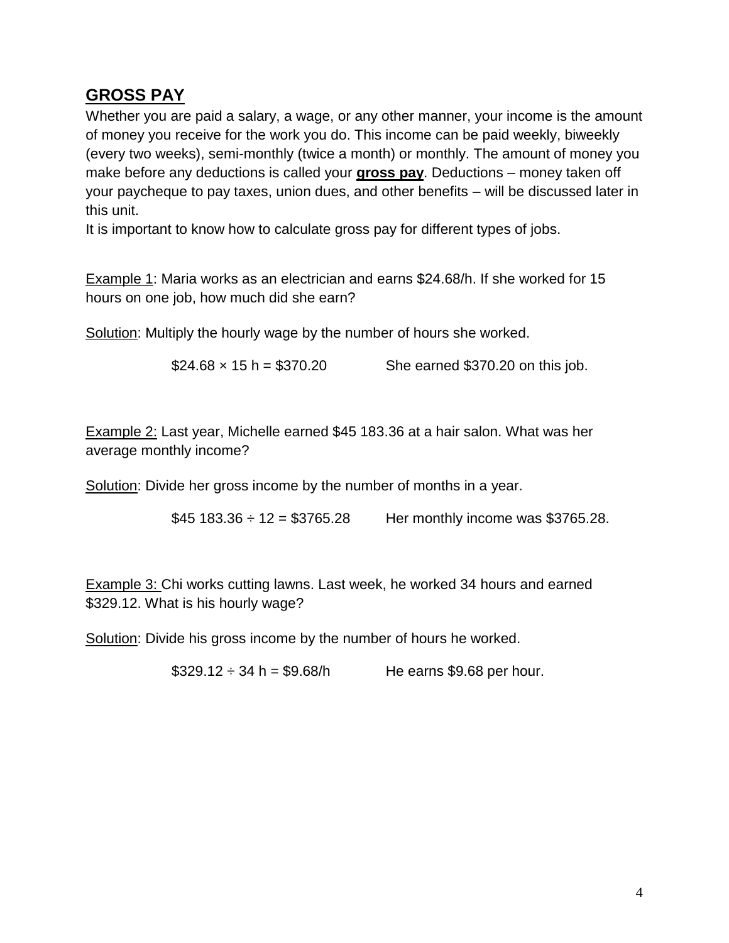## **GROSS PAY**

Whether you are paid a salary, a wage, or any other manner, your income is the amount of money you receive for the work you do. This income can be paid weekly, biweekly (every two weeks), semi-monthly (twice a month) or monthly. The amount of money you make before any deductions is called your **gross pay**. Deductions – money taken off your paycheque to pay taxes, union dues, and other benefits – will be discussed later in this unit.

It is important to know how to calculate gross pay for different types of jobs.

Example 1: Maria works as an electrician and earns \$24.68/h. If she worked for 15 hours on one job, how much did she earn?

Solution: Multiply the hourly wage by the number of hours she worked.

 $$24.68 \times 15 \text{ h} = $370.20$  She earned \$370.20 on this job.

Example 2: Last year, Michelle earned \$45 183.36 at a hair salon. What was her average monthly income?

Solution: Divide her gross income by the number of months in a year.

 $$45,183.36 \div 12 = $3765.28$  Her monthly income was \$3765.28.

Example 3: Chi works cutting lawns. Last week, he worked 34 hours and earned \$329.12. What is his hourly wage?

Solution: Divide his gross income by the number of hours he worked.

 $$329.12 \div 34 \text{ h} = $9.68/h$  He earns \$9.68 per hour.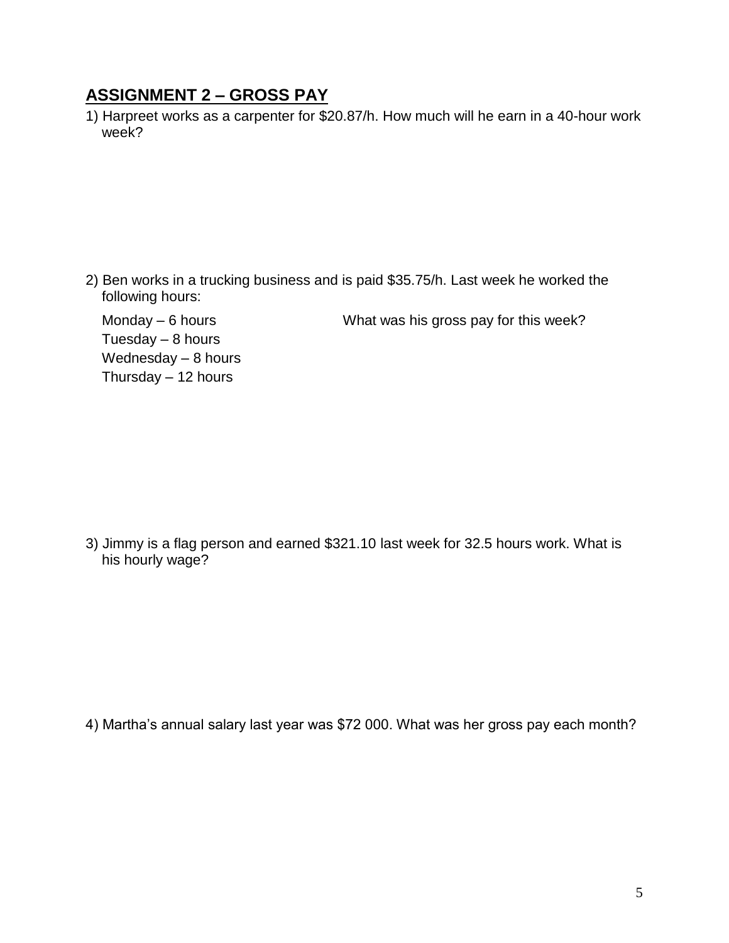### **ASSIGNMENT 2 – GROSS PAY**

1) Harpreet works as a carpenter for \$20.87/h. How much will he earn in a 40-hour work week?

2) Ben works in a trucking business and is paid \$35.75/h. Last week he worked the following hours:

Tuesday  $-8$  hours Wednesday – 8 hours Thursday – 12 hours

Monday – 6 hours What was his gross pay for this week?

3) Jimmy is a flag person and earned \$321.10 last week for 32.5 hours work. What is his hourly wage?

4) Martha's annual salary last year was \$72 000. What was her gross pay each month?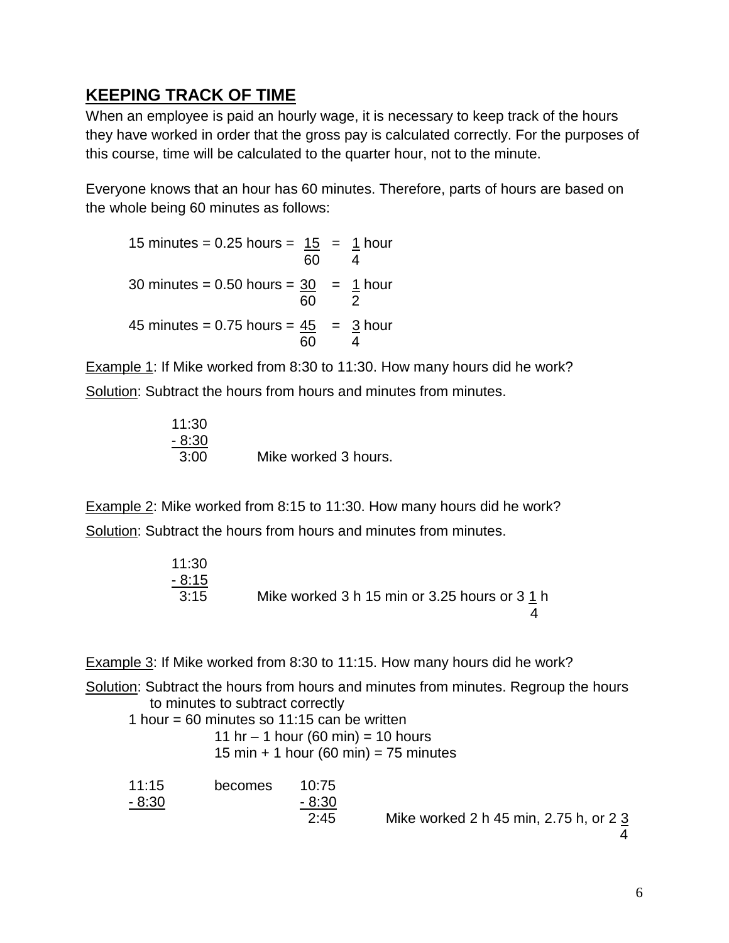# **KEEPING TRACK OF TIME**

When an employee is paid an hourly wage, it is necessary to keep track of the hours they have worked in order that the gross pay is calculated correctly. For the purposes of this course, time will be calculated to the quarter hour, not to the minute.

Everyone knows that an hour has 60 minutes. Therefore, parts of hours are based on the whole being 60 minutes as follows:

15 minutes =  $0.25$  hours =  $15 = 1$  hour 60 4 30 minutes = 0.50 hours =  $30$  =  $1$  hour 60 2 45 minutes =  $0.75$  hours =  $\frac{45}{5}$  =  $\frac{3}{5}$  hour 60

Example 1: If Mike worked from 8:30 to 11:30. How many hours did he work? Solution: Subtract the hours from hours and minutes from minutes.

11:30 - 8:30 3:00 Mike worked 3 hours.

Example 2: Mike worked from 8:15 to 11:30. How many hours did he work? Solution: Subtract the hours from hours and minutes from minutes.

| 11:30   |                                               |
|---------|-----------------------------------------------|
| $-8:15$ |                                               |
| 3:15    | Mike worked 3 h 15 min or 3.25 hours or 3 1 h |
|         |                                               |

Example 3: If Mike worked from 8:30 to 11:15. How many hours did he work?

Solution: Subtract the hours from hours and minutes from minutes. Regroup the hours to minutes to subtract correctly

1 hour = 60 minutes so  $11:15$  can be written

11 hr – 1 hour (60 min) = 10 hours

15 min  $+$  1 hour (60 min) = 75 minutes

| 11:15  | becomes | 10:75   |
|--------|---------|---------|
| - 8:30 |         | $-8:30$ |
|        |         | つ・イベ    |

2:45 Mike worked 2 h 45 min, 2.75 h, or 2 3

4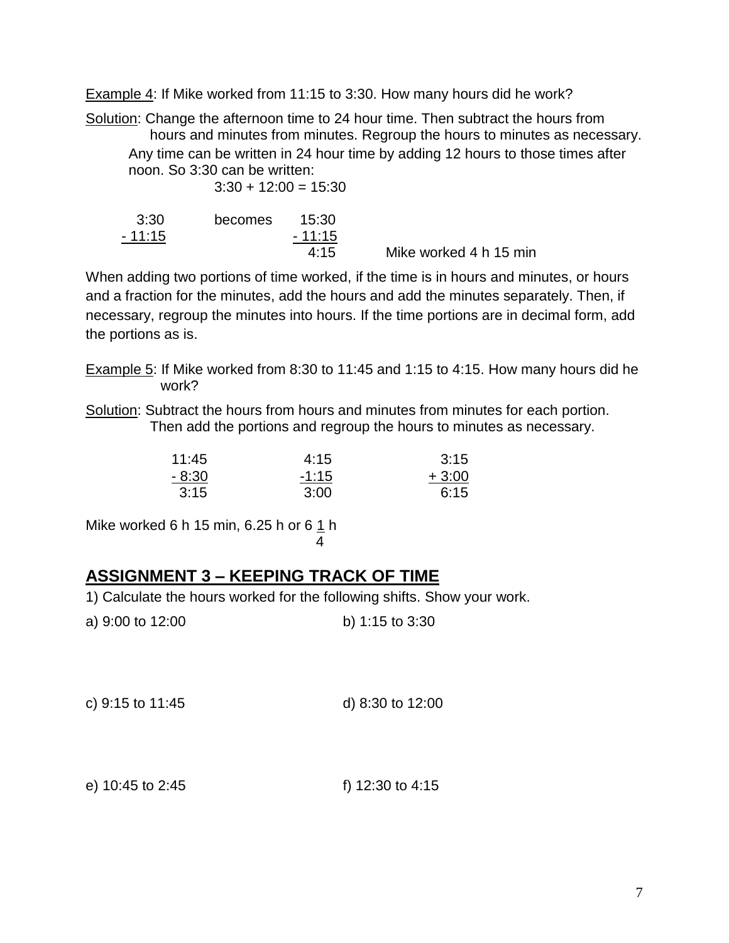Example 4: If Mike worked from 11:15 to 3:30. How many hours did he work?

Solution: Change the afternoon time to 24 hour time. Then subtract the hours from hours and minutes from minutes. Regroup the hours to minutes as necessary. Any time can be written in 24 hour time by adding 12 hours to those times after noon. So 3:30 can be written:  $3:30 + 12:00 = 15:30$ 

| 3:30     | becomes | 15:30    |                        |
|----------|---------|----------|------------------------|
| $-11:15$ |         | $-11:15$ |                        |
|          |         | 4:15     | Mike worked 4 h 15 min |

When adding two portions of time worked, if the time is in hours and minutes, or hours and a fraction for the minutes, add the hours and add the minutes separately. Then, if necessary, regroup the minutes into hours. If the time portions are in decimal form, add the portions as is.

- Example 5: If Mike worked from 8:30 to 11:45 and 1:15 to 4:15. How many hours did he work?
- Solution: Subtract the hours from hours and minutes from minutes for each portion. Then add the portions and regroup the hours to minutes as necessary.

| 11:45   | 4:15    | 3:15    |
|---------|---------|---------|
| $-8:30$ | $-1:15$ | $+3:00$ |
| 3:15    | 3:00    | 6:15    |

Mike worked 6 h 15 min, 6.25 h or 6  $1$  h 4

# **ASSIGNMENT 3 – KEEPING TRACK OF TIME**

- 1) Calculate the hours worked for the following shifts. Show your work.
- a) 9:00 to 12:00 b) 1:15 to 3:30
- c) 9:15 to 11:45 d) 8:30 to 12:00

e) 10:45 to 2:45 f) 12:30 to 4:15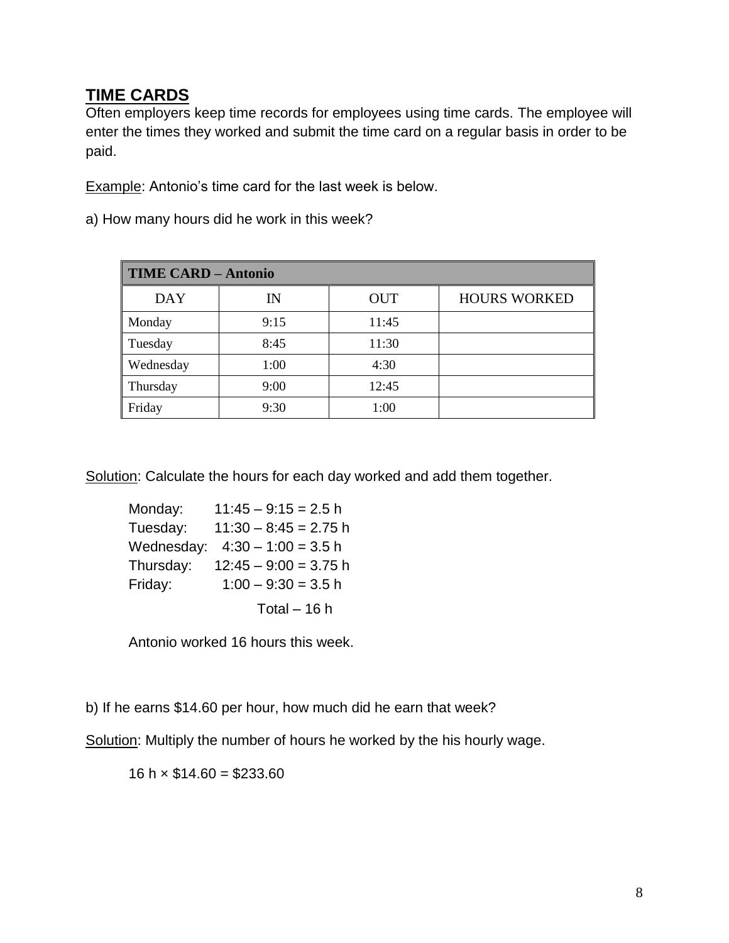### **TIME CARDS**

Often employers keep time records for employees using time cards. The employee will enter the times they worked and submit the time card on a regular basis in order to be paid.

Example: Antonio's time card for the last week is below.

|  |  |  |  |  |  |  |  |  | a) How many hours did he work in this week? |  |
|--|--|--|--|--|--|--|--|--|---------------------------------------------|--|
|--|--|--|--|--|--|--|--|--|---------------------------------------------|--|

| <b>TIME CARD - Antonio</b> |             |            |                     |  |  |
|----------------------------|-------------|------------|---------------------|--|--|
| <b>DAY</b>                 | $_{\rm IN}$ | <b>OUT</b> | <b>HOURS WORKED</b> |  |  |
| Monday                     | 9:15        | 11:45      |                     |  |  |
| Tuesday                    | 8:45        | 11:30      |                     |  |  |
| <b>Wednesday</b>           | 1:00        | 4:30       |                     |  |  |
| Thursday                   | 9:00        | 12:45      |                     |  |  |
| Friday                     | 9:30        | 1:00       |                     |  |  |

Solution: Calculate the hours for each day worked and add them together.

| Monday:    | $11:45 - 9:15 = 2.5$ h  |
|------------|-------------------------|
| Tuesday:   | $11:30 - 8:45 = 2.75$ h |
| Wednesday: | $4:30 - 1:00 = 3.5$ h   |
| Thursday:  | $12:45 - 9:00 = 3.75$ h |
| Friday:    | $1:00 - 9:30 = 3.5$ h   |
|            | Total $-16h$            |

Antonio worked 16 hours this week.

b) If he earns \$14.60 per hour, how much did he earn that week?

Solution: Multiply the number of hours he worked by the his hourly wage.

16 h  $\times$  \$14.60 = \$233.60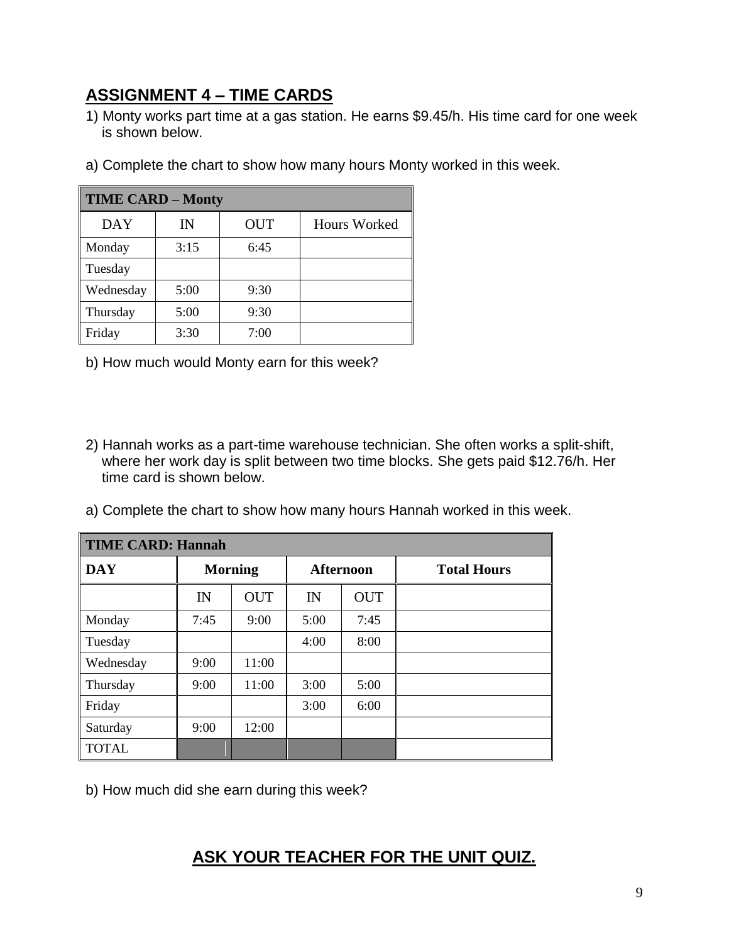# **ASSIGNMENT 4 – TIME CARDS**

- 1) Monty works part time at a gas station. He earns \$9.45/h. His time card for one week is shown below.
- a) Complete the chart to show how many hours Monty worked in this week.

| <b>TIME CARD - Monty</b> |      |            |              |
|--------------------------|------|------------|--------------|
| DAY                      | IN   | <b>OUT</b> | Hours Worked |
| Monday                   | 3:15 | 6:45       |              |
| Tuesday                  |      |            |              |
| Wednesday                | 5:00 | 9:30       |              |
| Thursday                 | 5:00 | 9:30       |              |
| Friday                   | 3:30 | 7:00       |              |

- b) How much would Monty earn for this week?
- 2) Hannah works as a part-time warehouse technician. She often works a split-shift, where her work day is split between two time blocks. She gets paid \$12.76/h. Her time card is shown below.
- a) Complete the chart to show how many hours Hannah worked in this week.

| <b>TIME CARD: Hannah</b> |      |                |      |                  |                    |
|--------------------------|------|----------------|------|------------------|--------------------|
| <b>DAY</b>               |      | <b>Morning</b> |      | <b>Afternoon</b> | <b>Total Hours</b> |
|                          | IN   | <b>OUT</b>     | IN   | <b>OUT</b>       |                    |
| Monday                   | 7:45 | 9:00           | 5:00 | 7:45             |                    |
| Tuesday                  |      |                | 4:00 | 8:00             |                    |
| Wednesday                | 9:00 | 11:00          |      |                  |                    |
| Thursday                 | 9:00 | 11:00          | 3:00 | 5:00             |                    |
| Friday                   |      |                | 3:00 | 6:00             |                    |
| Saturday                 | 9:00 | 12:00          |      |                  |                    |
| <b>TOTAL</b>             |      |                |      |                  |                    |

b) How much did she earn during this week?

# **ASK YOUR TEACHER FOR THE UNIT QUIZ.**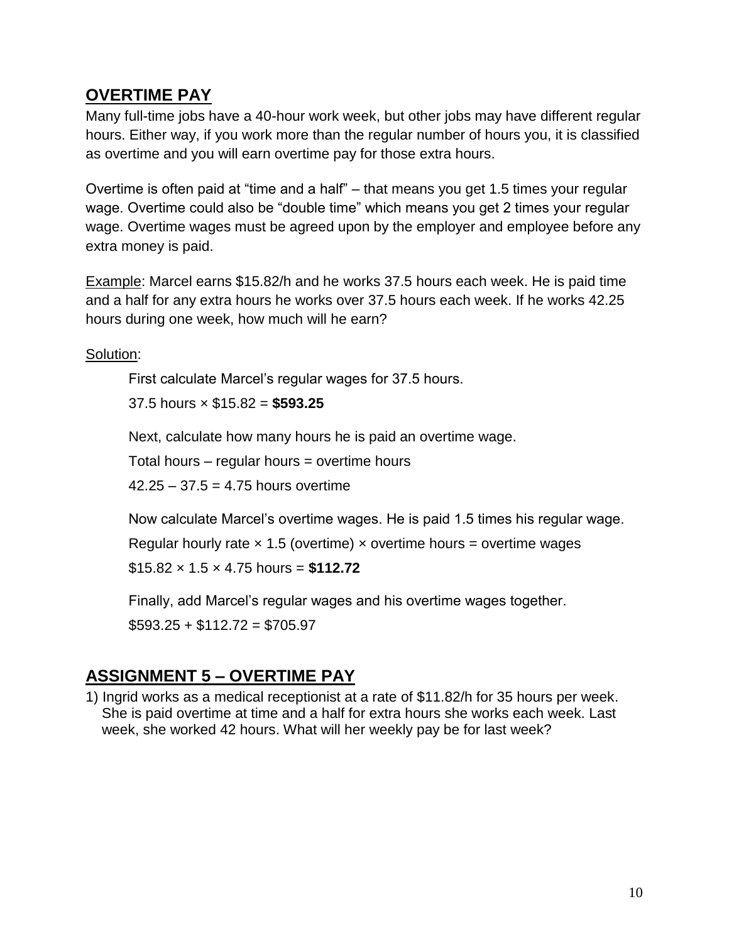### **OVERTIME PAY**

Many full-time jobs have a 40-hour work week, but other jobs may have different regular hours. Either way, if you work more than the regular number of hours you, it is classified as overtime and you will earn overtime pay for those extra hours.

Overtime is often paid at "time and a half" – that means you get 1.5 times your regular wage. Overtime could also be "double time" which means you get 2 times your regular wage. Overtime wages must be agreed upon by the employer and employee before any extra money is paid.

Example: Marcel earns \$15.82/h and he works 37.5 hours each week. He is paid time and a half for any extra hours he works over 37.5 hours each week. If he works 42.25 hours during one week, how much will he earn?

Solution:

First calculate Marcel's regular wages for 37.5 hours.

37.5 hours × \$15.82 = **\$593.25**

Next, calculate how many hours he is paid an overtime wage.

Total hours – regular hours = overtime hours

 $42.25 - 37.5 = 4.75$  hours overtime

Now calculate Marcel's overtime wages. He is paid 1.5 times his regular wage.

Regular hourly rate  $\times$  1.5 (overtime)  $\times$  overtime hours = overtime wages

\$15.82 × 1.5 × 4.75 hours = **\$112.72**

Finally, add Marcel's regular wages and his overtime wages together.

 $$593.25 + $112.72 = $705.97$ 

# **ASSIGNMENT 5 – OVERTIME PAY**

1) Ingrid works as a medical receptionist at a rate of \$11.82/h for 35 hours per week. She is paid overtime at time and a half for extra hours she works each week. Last week, she worked 42 hours. What will her weekly pay be for last week?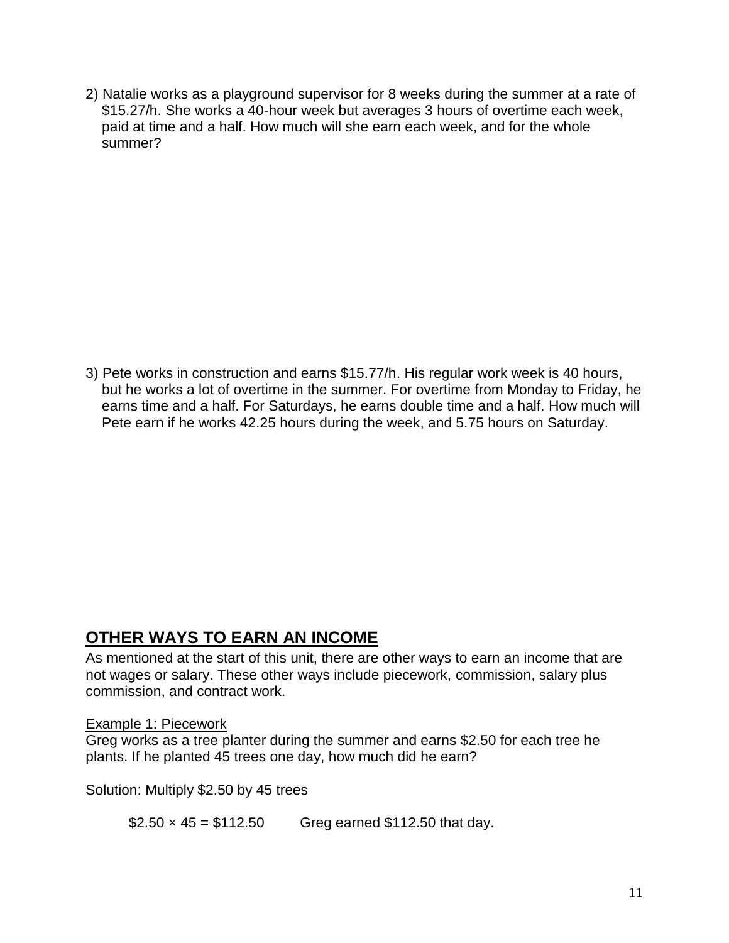2) Natalie works as a playground supervisor for 8 weeks during the summer at a rate of \$15.27/h. She works a 40-hour week but averages 3 hours of overtime each week, paid at time and a half. How much will she earn each week, and for the whole summer?

3) Pete works in construction and earns \$15.77/h. His regular work week is 40 hours, but he works a lot of overtime in the summer. For overtime from Monday to Friday, he earns time and a half. For Saturdays, he earns double time and a half. How much will Pete earn if he works 42.25 hours during the week, and 5.75 hours on Saturday.

## **OTHER WAYS TO EARN AN INCOME**

As mentioned at the start of this unit, there are other ways to earn an income that are not wages or salary. These other ways include piecework, commission, salary plus commission, and contract work.

#### Example 1: Piecework

Greg works as a tree planter during the summer and earns \$2.50 for each tree he plants. If he planted 45 trees one day, how much did he earn?

Solution: Multiply \$2.50 by 45 trees

 $$2.50 \times 45 = $112.50$  Greg earned \$112.50 that day.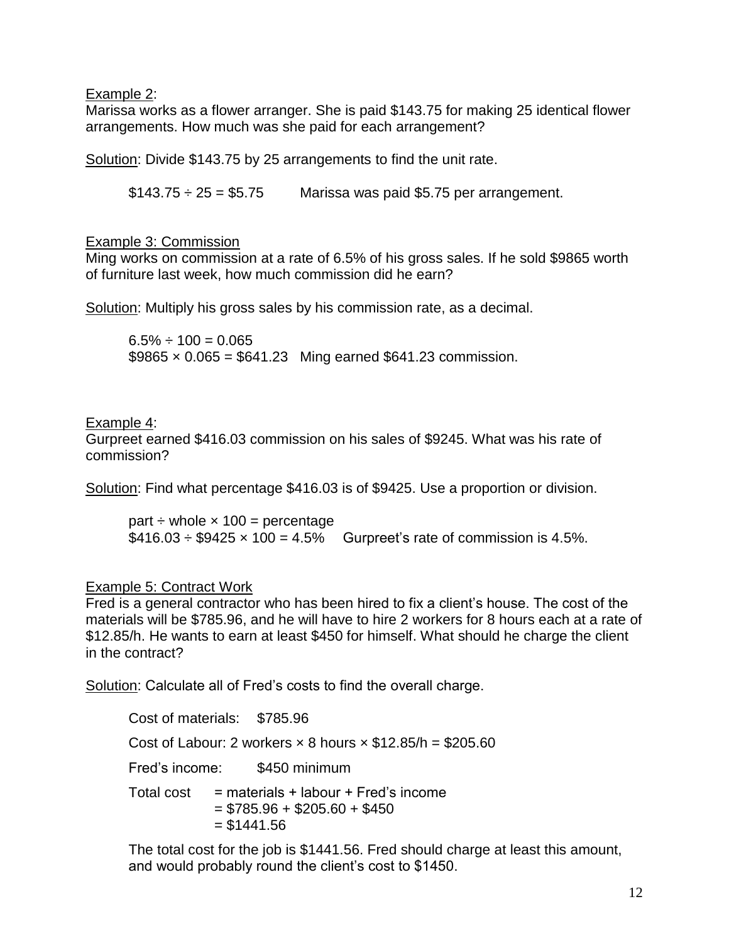Example 2:

Marissa works as a flower arranger. She is paid \$143.75 for making 25 identical flower arrangements. How much was she paid for each arrangement?

Solution: Divide \$143.75 by 25 arrangements to find the unit rate.

 $$143.75 \div 25 = $5.75$  Marissa was paid \$5.75 per arrangement.

#### Example 3: Commission

Ming works on commission at a rate of 6.5% of his gross sales. If he sold \$9865 worth of furniture last week, how much commission did he earn?

Solution: Multiply his gross sales by his commission rate, as a decimal.

 $6.5\% \div 100 = 0.065$  $$9865 \times 0.065 = $641.23$  Ming earned \$641.23 commission.

#### Example 4:

Gurpreet earned \$416.03 commission on his sales of \$9245. What was his rate of commission?

Solution: Find what percentage \$416.03 is of \$9425. Use a proportion or division.

part  $\div$  whole  $\times$  100 = percentage  $$416.03 \div $9425 \times 100 = 4.5\%$  Gurpreet's rate of commission is 4.5%.

#### Example 5: Contract Work

Fred is a general contractor who has been hired to fix a client's house. The cost of the materials will be \$785.96, and he will have to hire 2 workers for 8 hours each at a rate of \$12.85/h. He wants to earn at least \$450 for himself. What should he charge the client in the contract?

Solution: Calculate all of Fred's costs to find the overall charge.

Cost of materials: \$785.96 Cost of Labour: 2 workers  $\times$  8 hours  $\times$  \$12.85/h = \$205.60 Fred's income: \$450 minimum Total cost  $=$  materials + labour + Fred's income  $=$  \$785.96 + \$205.60 + \$450  $= $1441.56$ 

The total cost for the job is \$1441.56. Fred should charge at least this amount, and would probably round the client's cost to \$1450.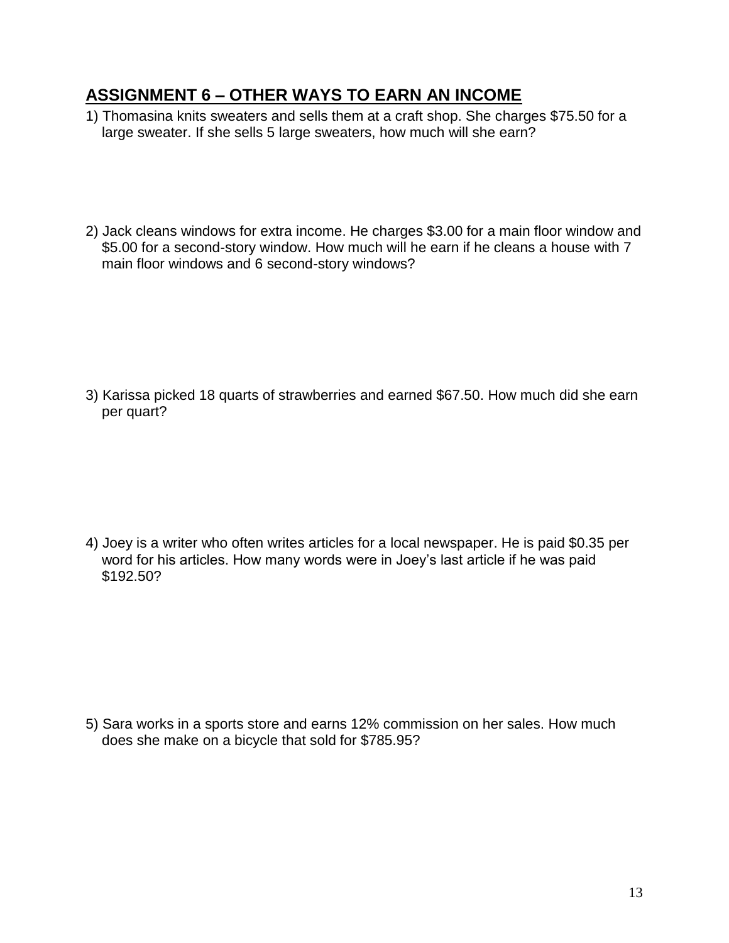## **ASSIGNMENT 6 – OTHER WAYS TO EARN AN INCOME**

- 1) Thomasina knits sweaters and sells them at a craft shop. She charges \$75.50 for a large sweater. If she sells 5 large sweaters, how much will she earn?
- 2) Jack cleans windows for extra income. He charges \$3.00 for a main floor window and \$5.00 for a second-story window. How much will he earn if he cleans a house with 7 main floor windows and 6 second-story windows?

3) Karissa picked 18 quarts of strawberries and earned \$67.50. How much did she earn per quart?

4) Joey is a writer who often writes articles for a local newspaper. He is paid \$0.35 per word for his articles. How many words were in Joey's last article if he was paid \$192.50?

5) Sara works in a sports store and earns 12% commission on her sales. How much does she make on a bicycle that sold for \$785.95?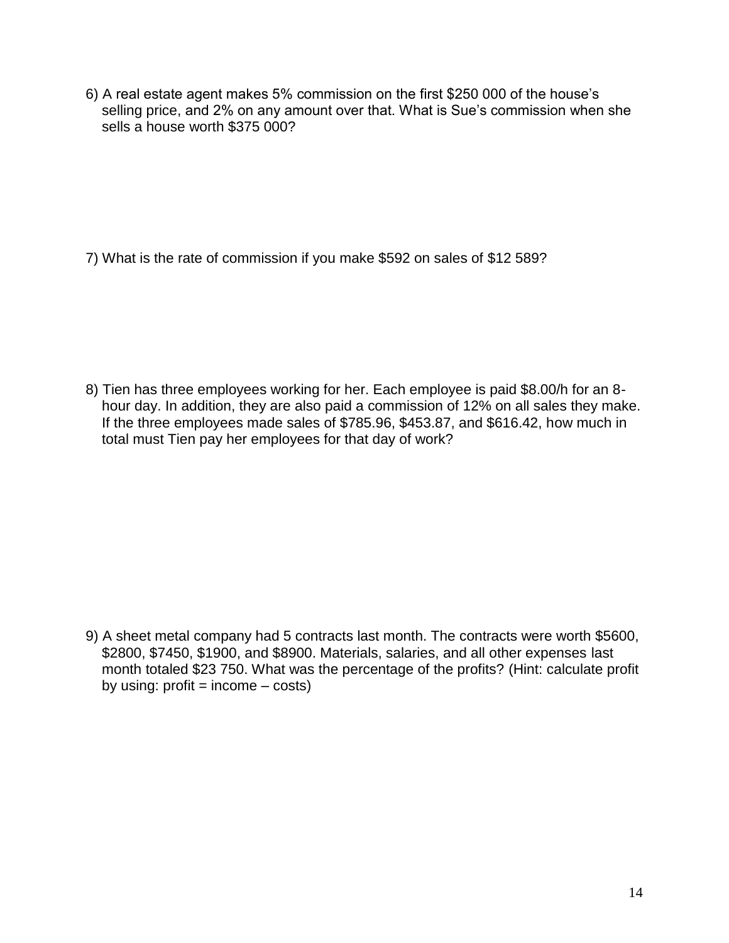6) A real estate agent makes 5% commission on the first \$250 000 of the house's selling price, and 2% on any amount over that. What is Sue's commission when she sells a house worth \$375 000?

7) What is the rate of commission if you make \$592 on sales of \$12 589?

8) Tien has three employees working for her. Each employee is paid \$8.00/h for an 8 hour day. In addition, they are also paid a commission of 12% on all sales they make. If the three employees made sales of \$785.96, \$453.87, and \$616.42, how much in total must Tien pay her employees for that day of work?

9) A sheet metal company had 5 contracts last month. The contracts were worth \$5600, \$2800, \$7450, \$1900, and \$8900. Materials, salaries, and all other expenses last month totaled \$23 750. What was the percentage of the profits? (Hint: calculate profit by using:  $profit = income - costs)$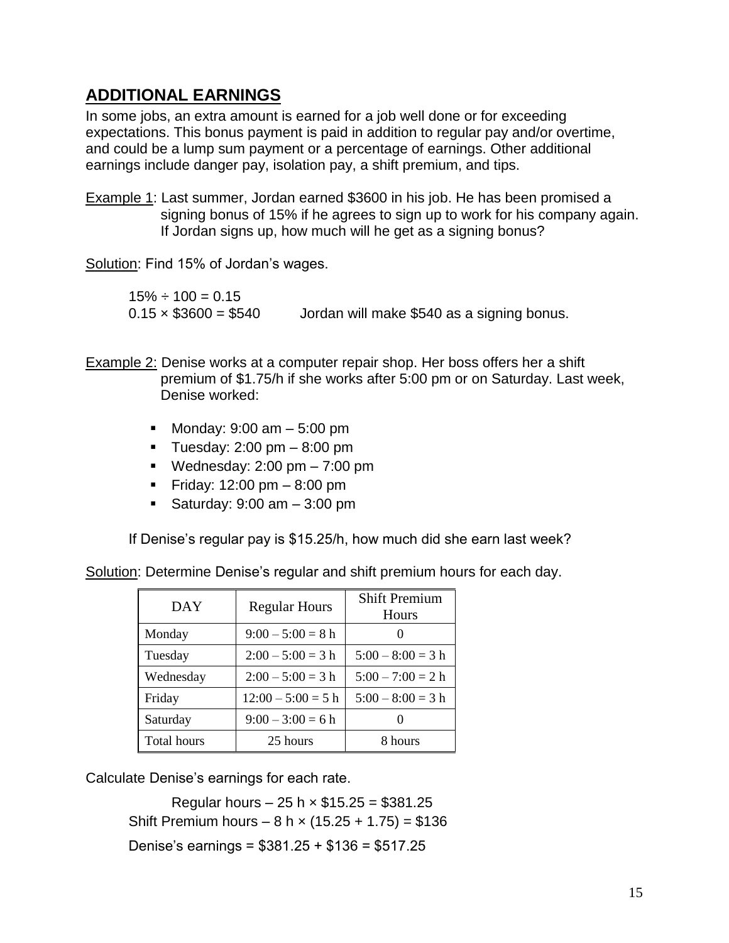## **ADDITIONAL EARNINGS**

In some jobs, an extra amount is earned for a job well done or for exceeding expectations. This bonus payment is paid in addition to regular pay and/or overtime, and could be a lump sum payment or a percentage of earnings. Other additional earnings include danger pay, isolation pay, a shift premium, and tips.

Example 1: Last summer, Jordan earned \$3600 in his job. He has been promised a signing bonus of 15% if he agrees to sign up to work for his company again. If Jordan signs up, how much will he get as a signing bonus?

Solution: Find 15% of Jordan's wages.

 $15\% \div 100 = 0.15$  $0.15 \times $3600 = $540$  Jordan will make \$540 as a signing bonus.

Example 2: Denise works at a computer repair shop. Her boss offers her a shift premium of \$1.75/h if she works after 5:00 pm or on Saturday. Last week, Denise worked:

- Monday:  $9:00 \text{ am} 5:00 \text{ pm}$
- Tuesday:  $2:00 \text{ pm} 8:00 \text{ pm}$
- Wednesday:  $2:00 \text{ pm} 7:00 \text{ pm}$
- Friday:  $12:00 \text{ pm} 8:00 \text{ pm}$
- Saturday:  $9:00$  am  $-3:00$  pm

If Denise's regular pay is \$15.25/h, how much did she earn last week?

| DAY                | <b>Regular Hours</b> | <b>Shift Premium</b><br><b>Hours</b> |
|--------------------|----------------------|--------------------------------------|
| Monday             | $9:00 - 5:00 = 8$ h  |                                      |
| Tuesday            | $2:00 - 5:00 = 3$ h  | $5:00 - 8:00 = 3$ h                  |
| Wednesday          | $2:00 - 5:00 = 3$ h  | $5:00 - 7:00 = 2$ h                  |
| Friday             | $12:00 - 5:00 = 5$ h | $5:00 - 8:00 = 3$ h                  |
| Saturday           | $9:00 - 3:00 = 6$ h  |                                      |
| <b>Total hours</b> | 25 hours             | 8 hours                              |

Solution: Determine Denise's regular and shift premium hours for each day.

Calculate Denise's earnings for each rate.

Regular hours  $-25 h \times $15.25 = $381.25$ Shift Premium hours  $-8 h \times (15.25 + 1.75) = $136$ Denise's earnings = \$381.25 + \$136 = \$517.25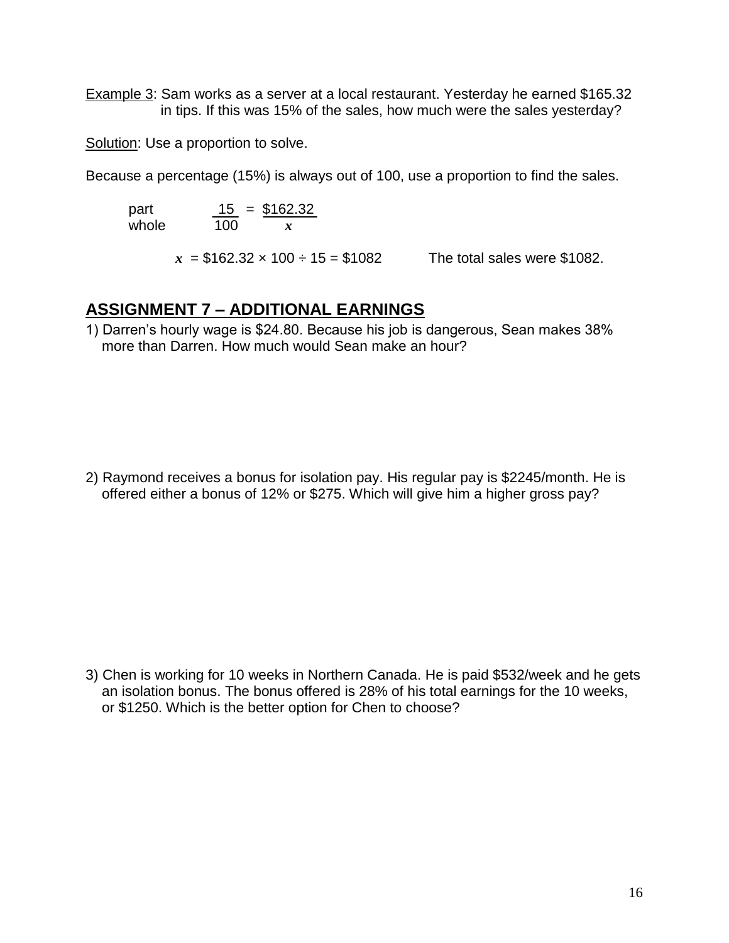Example 3: Sam works as a server at a local restaurant. Yesterday he earned \$165.32 in tips. If this was 15% of the sales, how much were the sales yesterday?

Solution: Use a proportion to solve.

Because a percentage (15%) is always out of 100, use a proportion to find the sales.

part  $\frac{15}{100} = \frac{$162.32}{r}$ whole 100 *x*

 $x = $162.32 \times 100 \div 15 = $1082$  The total sales were \$1082.

#### **ASSIGNMENT 7 – ADDITIONAL EARNINGS**

1) Darren's hourly wage is \$24.80. Because his job is dangerous, Sean makes 38% more than Darren. How much would Sean make an hour?

2) Raymond receives a bonus for isolation pay. His regular pay is \$2245/month. He is offered either a bonus of 12% or \$275. Which will give him a higher gross pay?

3) Chen is working for 10 weeks in Northern Canada. He is paid \$532/week and he gets an isolation bonus. The bonus offered is 28% of his total earnings for the 10 weeks, or \$1250. Which is the better option for Chen to choose?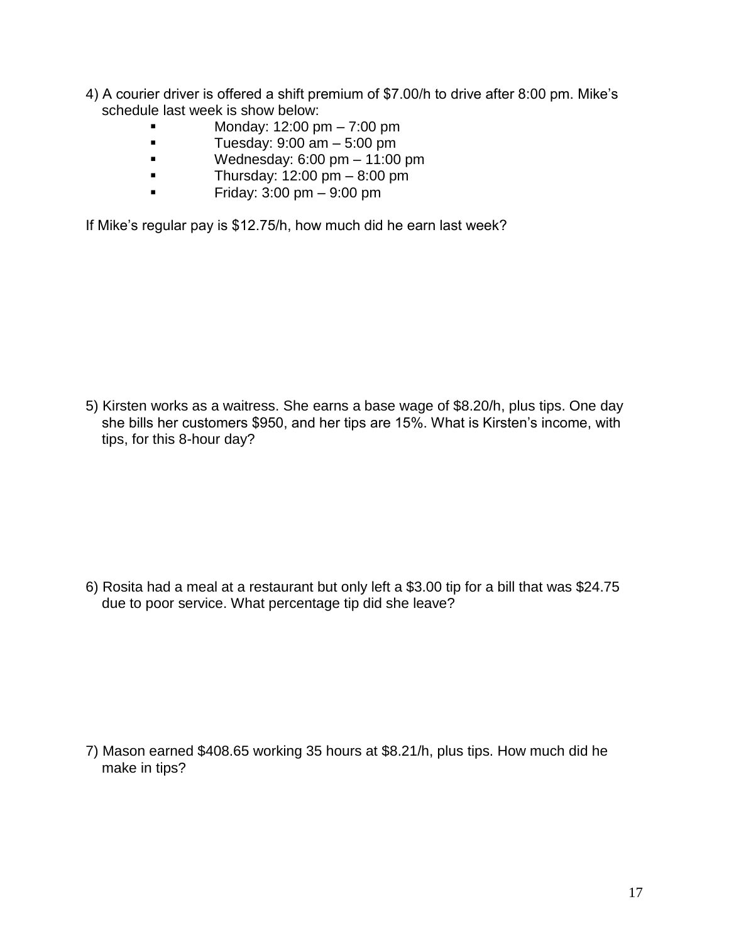- 4) A courier driver is offered a shift premium of \$7.00/h to drive after 8:00 pm. Mike's schedule last week is show below:
	- Monday: 12:00 pm 7:00 pm
	- $\blacksquare$  Tuesday: 9:00 am  $-$  5:00 pm
	- $\bullet$  Wednesday: 6:00 pm 11:00 pm
	- Thursday:  $12:00 \text{ pm} 8:00 \text{ pm}$
	- Friday:  $3:00 \text{ pm} 9:00 \text{ pm}$

If Mike's regular pay is \$12.75/h, how much did he earn last week?

5) Kirsten works as a waitress. She earns a base wage of \$8.20/h, plus tips. One day she bills her customers \$950, and her tips are 15%. What is Kirsten's income, with tips, for this 8-hour day?

6) Rosita had a meal at a restaurant but only left a \$3.00 tip for a bill that was \$24.75 due to poor service. What percentage tip did she leave?

7) Mason earned \$408.65 working 35 hours at \$8.21/h, plus tips. How much did he make in tips?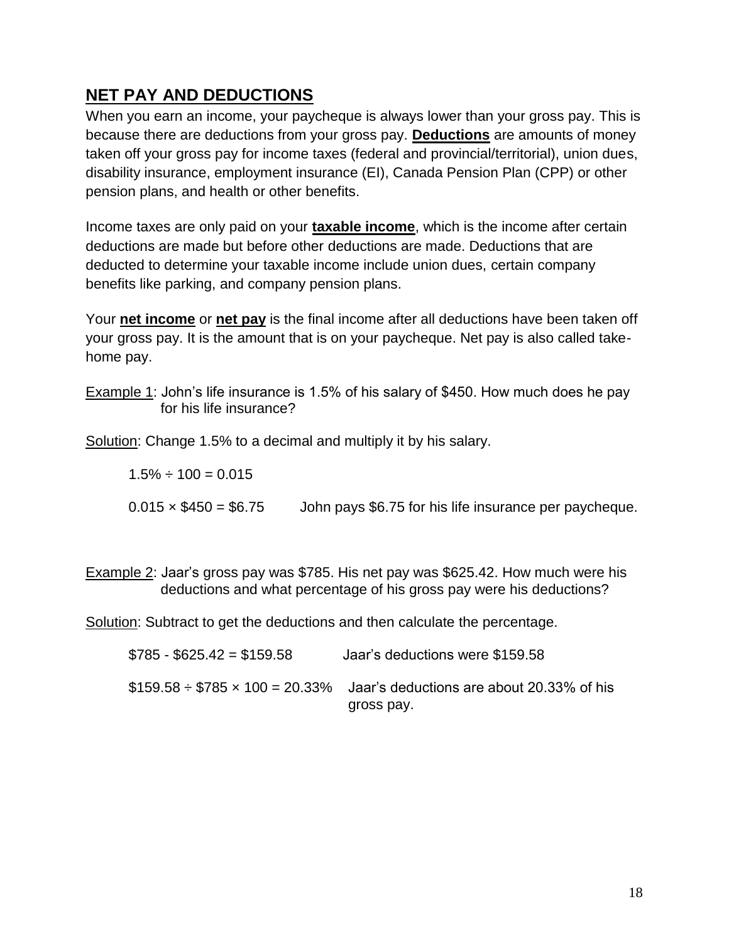## **NET PAY AND DEDUCTIONS**

When you earn an income, your paycheque is always lower than your gross pay. This is because there are deductions from your gross pay. **Deductions** are amounts of money taken off your gross pay for income taxes (federal and provincial/territorial), union dues, disability insurance, employment insurance (EI), Canada Pension Plan (CPP) or other pension plans, and health or other benefits.

Income taxes are only paid on your **taxable income**, which is the income after certain deductions are made but before other deductions are made. Deductions that are deducted to determine your taxable income include union dues, certain company benefits like parking, and company pension plans.

Your **net income** or **net pay** is the final income after all deductions have been taken off your gross pay. It is the amount that is on your paycheque. Net pay is also called takehome pay.

Example 1: John's life insurance is 1.5% of his salary of \$450. How much does he pay for his life insurance?

Solution: Change 1.5% to a decimal and multiply it by his salary.

 $1.5\% \div 100 = 0.015$ 

 $0.015 \times $450 = $6.75$  John pays \$6.75 for his life insurance per paycheque.

Example 2: Jaar's gross pay was \$785. His net pay was \$625.42. How much were his deductions and what percentage of his gross pay were his deductions?

Solution: Subtract to get the deductions and then calculate the percentage.

| $$785 - $625.42 = $159.58$ | Jaar's deductions were \$159.58                                                                  |
|----------------------------|--------------------------------------------------------------------------------------------------|
|                            | $$159.58 \div $785 \times 100 = 20.33\%$ Jaar's deductions are about 20.33% of his<br>gross pay. |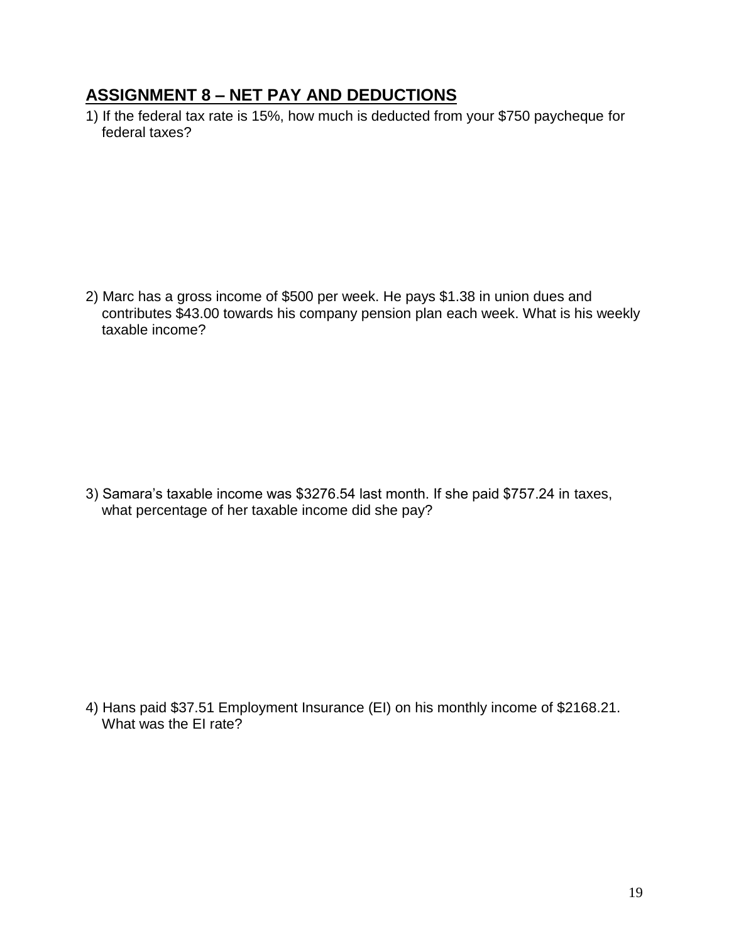#### **ASSIGNMENT 8 – NET PAY AND DEDUCTIONS**

1) If the federal tax rate is 15%, how much is deducted from your \$750 paycheque for federal taxes?

2) Marc has a gross income of \$500 per week. He pays \$1.38 in union dues and contributes \$43.00 towards his company pension plan each week. What is his weekly taxable income?

3) Samara's taxable income was \$3276.54 last month. If she paid \$757.24 in taxes, what percentage of her taxable income did she pay?

4) Hans paid \$37.51 Employment Insurance (EI) on his monthly income of \$2168.21. What was the FI rate?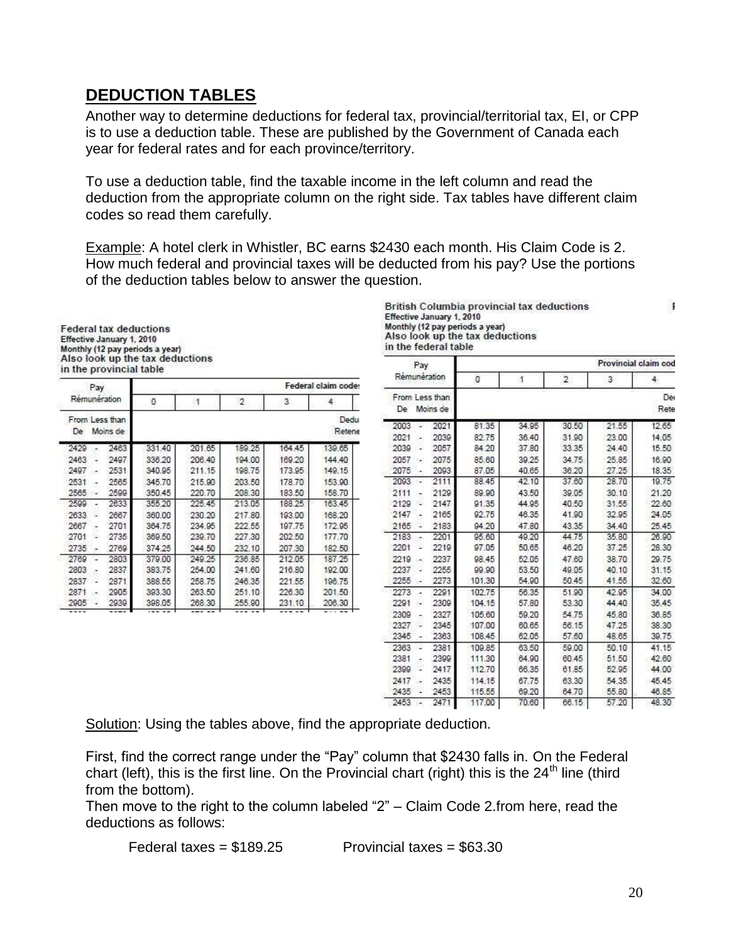### **DEDUCTION TABLES**

Another way to determine deductions for federal tax, provincial/territorial tax, EI, or CPP is to use a deduction table. These are published by the Government of Canada each year for federal rates and for each province/territory.

To use a deduction table, find the taxable income in the left column and read the deduction from the appropriate column on the right side. Tax tables have different claim codes so read them carefully.

Example: A hotel clerk in Whistler, BC earns \$2430 each month. His Claim Code is 2. How much federal and provincial taxes will be deducted from his pay? Use the portions of the deduction tables below to answer the question.

| <b>Federal tax deductions</b>   |
|---------------------------------|
| Effective January 1, 2010       |
| Monthly (12 pay periods a year) |
| Also look up the tax deductions |
| in the provincial table         |

| Pay                               |      |        |        |        |        | Federal claim code |  |
|-----------------------------------|------|--------|--------|--------|--------|--------------------|--|
| Remuneration                      |      | o      | া      | 2      | 3      | 4                  |  |
| From Less than<br>Moins de<br>De: |      |        |        |        |        | Dedu<br>Retene     |  |
| 2429                              | 2463 | 331.40 | 201.65 | 189.25 | 164.45 | 139.65             |  |
| 2463                              | 2497 | 336.20 | 206.40 | 194.00 | 169.20 | 144.40             |  |
| 2497<br>эř,                       | 2531 | 340.95 | 211.15 | 198.75 | 173.95 | 149.15             |  |
| 2531                              | 2565 | 345.70 | 215.90 | 203.50 | 178.70 | 153.90             |  |
| 2565<br>52                        | 2599 | 350.45 | 220.70 | 208.30 | 183.50 | 158.70             |  |
| 2599<br>۰                         | 2633 | 355.20 | 225.45 | 213.05 | 188.25 | 163.45             |  |
| 2633                              | 2667 | 360.00 | 230.20 | 217.80 | 193.00 | 168.20             |  |
| 2667                              | 2701 | 364.75 | 234.95 | 222.55 | 197.75 | 172.95             |  |
| 2701                              | 2735 | 369.50 | 239.70 | 227.30 | 202.50 | 177.70             |  |
| 2735                              | 2769 | 374.25 | 244.50 | 232.10 | 207.30 | 182.50             |  |
| 2769                              | 2803 | 379.00 | 249.25 | 236.85 | 212.05 | 187.25             |  |
| 2803                              | 2837 | 383.75 | 254.00 | 241.60 | 216.80 | 192.00             |  |
| 2837                              | 2871 | 388.55 | 258.75 | 246.35 | 221.55 | 196.75             |  |
| 2871<br>Сw.                       | 2905 | 393.30 | 263.50 | 251.10 | 226.30 | 201.50             |  |
| 2905                              | 2939 | 398.05 | 268:30 | 255.90 | 231.10 | 208.30             |  |
| .                                 |      |        |        |        |        | $  -$              |  |

**British Columbia provincial tax deductions** Effective January 1, 2010 Monthly (12 pay periods a year)<br>Also look up the tax deductions in the federal table

| Pay                  |          |        |              |                | Provincial claim cod |            |
|----------------------|----------|--------|--------------|----------------|----------------------|------------|
| Rémunération         |          | O      | $\mathbf{1}$ | $\overline{2}$ | 3                    | 4          |
| From Less than<br>De | Moins de |        |              |                |                      | De<br>Rete |
| 2003                 | 2021     | 81.35  | 34.95        | 30.50          | 21.55                | 12.65      |
| 2021                 | 2039     | 82.75  | 36.40        | 31.90          | 23.00                | 14.05      |
| 2039<br>ä,           | 2057     | 84 20  | 37.80        | 33.35          | 24.40                | 15.50      |
| 2057<br>s.           | 2075     | 85.60  | 39.25        | 34.75          | 25.85                | 16.90      |
| 2075                 | 2093     | 87.05  | 40.65        | 36.20          | 27.25                | 18.35      |
| 2093<br>۰            | 2111     | 88.45  | 42.10        | 37.60          | 28.70                | 19.75      |
| 2111                 | 2129     | 89.90  | 43.50        | 39.05          | 30.10                | 21.20      |
| 2129                 | 2147     | 91.35  | 44.95        | 40.50          | 31.55                | 22.60      |
| 2147                 | 2165     | 92.75  | 46.35        | 41.90          | 32.95                | 24.05      |
| 2165<br>L            | 2183     | 94.20  | 47.80        | 43.35          | 34.40                | 25.45      |
| 2183<br>×,           | 2201     | 95.60  | 49.20        | 44.75          | 35.80                | 26.90      |
| 2201                 | 2219     | 97.05  | 50.65        | 46.20          | 37.25                | 28.30      |
| 2219<br>-            | 2237     | 98.45  | 52.05        | 47.60          | 38.70                | 29.75      |
| 2237<br>۷            | 2255     | 99.90  | 53.50        | 49.05          | 40.10                | 31.15      |
| 2255<br>۰            | 2273     | 101.30 | 54.90        | 50.45          | 41.55                | 32.60      |
| 2273                 | 2291     | 102.75 | 56.35        | 51.90          | 42.95                | 34.00      |
| 2291<br>s.           | 2309     | 104.15 | 57.80        | 53.30          | 44.40                | 35.45      |
| 2309                 | 2327     | 105.60 | 59.20        | 54.75          | 45.80                | 36.85      |
| 2327                 | 2345     | 107.00 | 60.65        | 56.15          | 47.25                | 38.30      |
| 2345                 | 2363     | 108.45 | 62.05        | 57.60          | 48.65                | 39.75      |
| 2363<br>÷            | 2381     | 109.85 | 63.50        | 59.00          | 50.10                | 41.15      |
| 2381<br>۰            | 2399     | 111.30 | 64.90        | 60.45          | 51.50                | 42.60      |
| 2399<br>L,           | 2417     | 112.70 | 66.35        | 61.85          | 52.95                | 44.00      |
| 2417<br>۰            | 2435     | 114.15 | 67.75        | 63.30          | 54.35                | 45.45      |
| 2435<br>٠            | 2453     | 115.55 | 69.20        | 64.70          | 55.80                | 46.85      |
| 2453                 | 2471     | 117.00 | 70.60        | 66.15          | 57.20                | 48.30      |

Solution: Using the tables above, find the appropriate deduction.

First, find the correct range under the "Pay" column that \$2430 falls in. On the Federal chart (left), this is the first line. On the Provincial chart (right) this is the 24<sup>th</sup> line (third from the bottom).

Then move to the right to the column labeled "2" – Claim Code 2.from here, read the deductions as follows:

$$
Federal taxes = $189.25
$$

Provincial taxes =  $$63.30$ 

 $\mathbf{I}$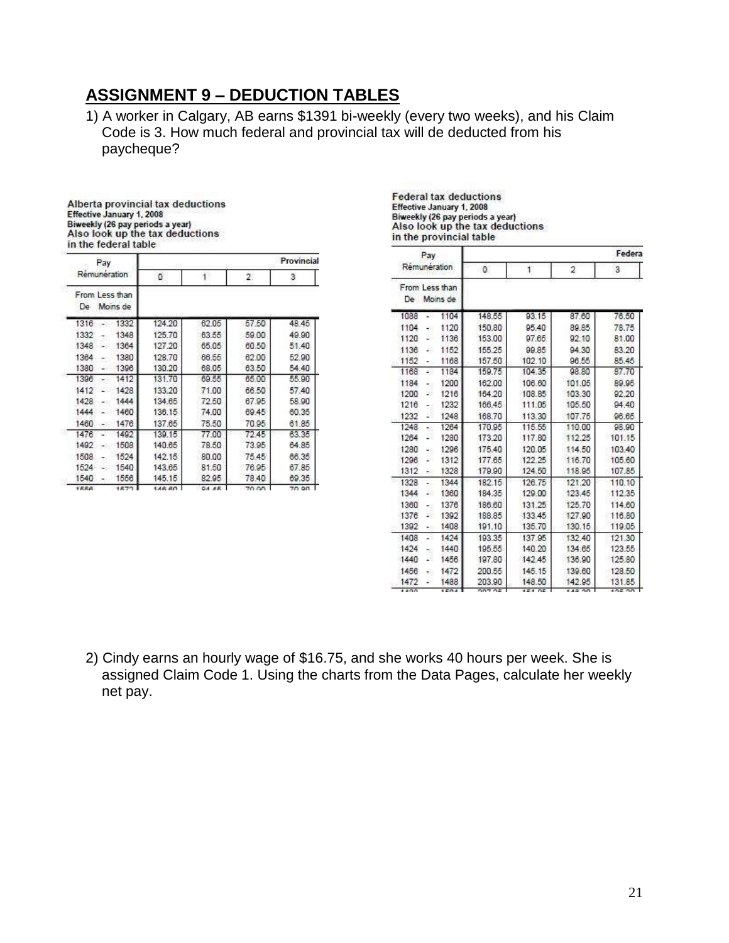## **ASSIGNMENT 9 – DEDUCTION TABLES**

1) A worker in Calgary, AB earns \$1391 bi-weekly (every two weeks), and his Claim Code is 3. How much federal and provincial tax will de deducted from his paycheque?

| Alberta provincial tax deductions |  |
|-----------------------------------|--|
| Effective January 1, 2008         |  |
| Biweekly (26 pay periods a year)  |  |
| Also look up the tax deductions   |  |
| in the federal table              |  |

| Pay                               |        |       |       | Provincial |
|-----------------------------------|--------|-------|-------|------------|
| Rémunération                      | ū      | ĩ     | 2     | 3          |
| From Less than<br>Moins de<br>De. |        |       |       |            |
| 1316<br>1332                      | 124.20 | 62.05 | 57.50 | 48.45      |
| 1332<br>1348                      | 125.70 | 63.55 | 59.00 | 49.90      |
| 1348<br>1364                      | 127.20 | 65.05 | 60.50 | 51.40      |
| 1380<br>1364                      | 128.70 | 66.55 | 62.00 | 52.90      |
| 1396<br>1380                      | 130.20 | 68.05 | 63.50 | 54.40      |
| 1396<br>1412                      | 131.70 | 69.55 | 65.00 | 55.90      |
| 1428<br>1412                      | 133.20 | 71.00 | 66.50 | 57.40      |
| 1428<br>1444                      | 134.65 | 72.50 | 67.95 | 58.90      |
| 1460<br>1444                      | 136.15 | 74.00 | 69.45 | 60.35      |
| 1460<br>1476                      | 137.65 | 75.50 | 70.95 | 61.85      |
| 1476<br>1492                      | 139.15 | 77.00 | 72.45 | 63.35      |
| 1508<br>1492                      | 140.65 | 78.50 | 73.95 | 64.85      |
| 1508<br>1524                      | 142.15 | 80.00 | 75.45 | 66.35      |
| 1540<br>1524                      | 143.65 | 81.50 | 76.95 | 67.85      |
| 1556<br>1540                      | 145.15 | 82.95 | 78.40 | 69.35      |
| 1558<br>1579                      | 148.80 | OA AF | 70.00 | 70.90      |

**Federal tax deductions** Effective January 1, 2008 Biweekly (26 pay periods a year)<br>Also look up the tax deductions<br>in the provincial table

| Pay                           |               |        |                | Federa |
|-------------------------------|---------------|--------|----------------|--------|
| Rémunération                  | 0             | 1      | $\overline{2}$ | 3      |
| From Less than<br>De Moins de |               |        |                |        |
| 1088<br>1104                  | 148.55        | 93.15  | 87.60          | 76.50  |
| 1104<br>1120<br>48            | 150.80        | 95.40  | 89.85          | 78.75  |
| 1120<br>1136<br>z.            | 153.00        | 97.65  | 92.10          | 81.00  |
| 1136<br>1152<br>29            | 155.25        | 99.85  | 94.30          | 83.20  |
| 1152<br>1168<br>٠.            | 157.50        | 102.10 | 96.55          | 85.45  |
| 1168<br>1184<br>28            | 159.75        | 104.35 | 98.80          | 87.70  |
| 1184<br>1200<br>-3            | 162.00        | 106.60 | 101.05         | 89.95  |
| 1216<br>1200<br>×,            | 164.20        | 108.85 | 103.30         | 92.20  |
| 1232<br>1216<br>43            | 166.45        | 111.05 | 105.50         | 94.40  |
| 1248<br>1232<br>2             | 168.70        | 113.30 | 107.75         | 96.65  |
| 1248<br>1264<br>÷.            | 170.95        | 115.55 | 110.00         | 98.90  |
| 1264<br>1280<br>×             | 173.20        | 117.80 | 112.25         | 101.15 |
| 1296<br>1280<br>28            | 175.40        | 120.05 | 114.50         | 103.40 |
| 1296<br>1312<br>z.            | 177.65        | 122 25 | 116.70         | 105.60 |
| 1312<br>1328<br>28            | 179.90        | 124.50 | 118.95         | 107.85 |
| 1328<br>1344<br>۰.            | 182.15        | 126.75 | 121.20         | 110.10 |
| 1344<br>1360<br>÷.            | 184.35        | 129.00 | 123.45         | 112.35 |
| 1376<br>1360<br>$\sim$        | 186,60        | 131.25 | 125.70         | 114.60 |
| 1376<br>1392<br>S)            | 188.85        | 133.45 | 127.90         | 116.80 |
| 1392<br>1408<br>63            | 191.10        | 135.70 | 130.15         | 119.05 |
| 1408<br>1424<br>28            | 193.35        | 137.95 | 132.40         | 121.30 |
| 1424<br>1440<br>$\sim$        | 195.55        | 140.20 | 134.65         | 123.55 |
| 1440<br>ĸ<br>1456             | 197.80        | 142.45 | 136.90         | 125.80 |
| 1472<br>1456<br>48            | 200.55        | 145.15 | 139.60         | 128.50 |
| 1472<br>1488<br>S.            | 203.90        | 148.50 | 142.95         | 131.85 |
| 1400<br>1504                  | <b>DOT OF</b> | 15105  | 148.00         | 105.00 |

2) Cindy earns an hourly wage of \$16.75, and she works 40 hours per week. She is assigned Claim Code 1. Using the charts from the Data Pages, calculate her weekly net pay.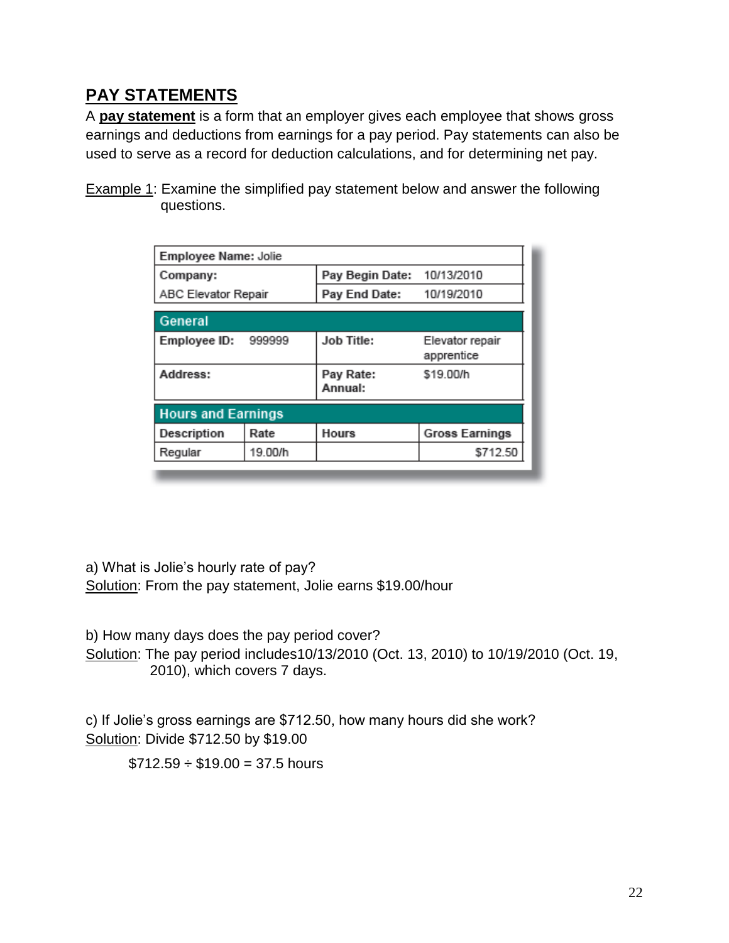# **PAY STATEMENTS**

A **pay statement** is a form that an employer gives each employee that shows gross earnings and deductions from earnings for a pay period. Pay statements can also be used to serve as a record for deduction calculations, and for determining net pay.

Example 1: Examine the simplified pay statement below and answer the following questions.

| Employee Name: Jolie      |         |                      |                               |
|---------------------------|---------|----------------------|-------------------------------|
| Company:                  |         | Pay Begin Date:      | 10/13/2010                    |
| ABC Elevator Repair       |         | Pay End Date:        | 10/19/2010                    |
| General                   |         |                      |                               |
| Employee ID:              | 999999  | Job Title:           | Elevator repair<br>apprentice |
| Address:                  |         | Pay Rate:<br>Annual: | \$19.00/h                     |
| <b>Hours and Earnings</b> |         |                      |                               |
| Description               | Rate    | <b>Hours</b>         | <b>Gross Earnings</b>         |
| Regular                   | 19.00/h |                      | \$712.50                      |

a) What is Jolie's hourly rate of pay? Solution: From the pay statement, Jolie earns \$19.00/hour

b) How many days does the pay period cover?

Solution: The pay period includes10/13/2010 (Oct. 13, 2010) to 10/19/2010 (Oct. 19, 2010), which covers 7 days.

c) If Jolie's gross earnings are \$712.50, how many hours did she work? Solution: Divide \$712.50 by \$19.00

 $$712.59 \div $19.00 = 37.5$  hours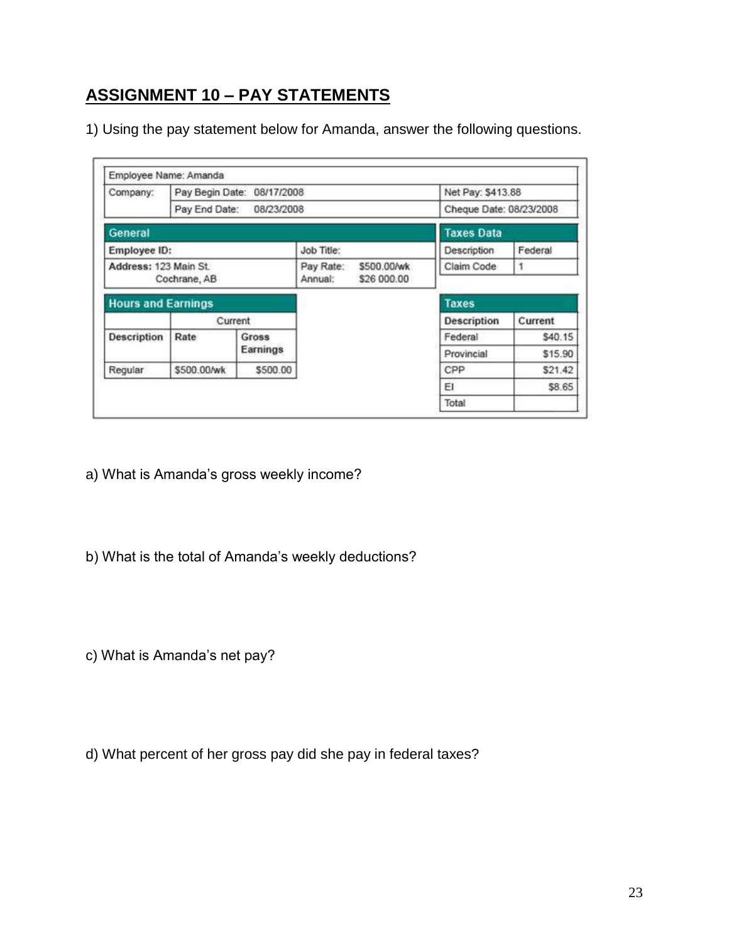# **ASSIGNMENT 10 – PAY STATEMENTS**

1) Using the pay statement below for Amanda, answer the following questions.

|                           | Employee Name: Amanda |                            |            |             |                         |                    |
|---------------------------|-----------------------|----------------------------|------------|-------------|-------------------------|--------------------|
| Company:                  |                       | Pay Begin Date: 08/17/2008 |            |             | Net Pay: \$413.88       |                    |
|                           |                       | Pay End Date: 08/23/2008   |            |             | Cheque Date: 08/23/2008 |                    |
| General                   |                       |                            |            |             | <b>Taxes Data</b>       |                    |
| Employee ID:              |                       |                            | Job Title: |             | Description             | Federal            |
| Address: 123 Main St.     |                       |                            | Pay Rate:  | \$500.00/wk | Claim Code              | 1                  |
|                           | Cochrane, AB          |                            | Annual:    | \$26 000.00 |                         |                    |
|                           |                       |                            |            |             |                         |                    |
| <b>Hours and Earnings</b> |                       |                            |            |             | <b>Taxes</b>            |                    |
|                           |                       | Current                    |            |             | <b>Description</b>      | Current            |
| Description               | Rate                  | Gross                      |            |             | Federal                 | \$40.15            |
|                           |                       | Earnings                   |            |             | Provincial              |                    |
| Regular                   | \$500.00/wk           | \$500.00                   |            |             | CPP                     | \$15.90<br>\$21.42 |
|                           |                       |                            |            |             | EI                      | \$8.65             |

- a) What is Amanda's gross weekly income?
- b) What is the total of Amanda's weekly deductions?

c) What is Amanda's net pay?

d) What percent of her gross pay did she pay in federal taxes?